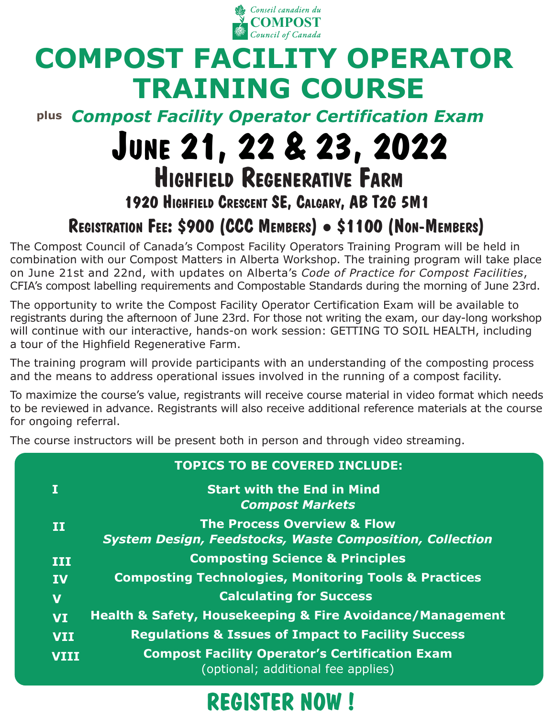

# **COMPOST FACILITY OPERATOR TRAINING COURSE**

**plus** *Compost Facility Operator Certification Exam*

# **JUNE 21, 22 & 23, 2022 HIGHFIELD REGENERATIVE FARM**

#### **1920 HIGHFIELD CRESCENT SE, CALGARY, AB T2G 5M1**

### **REGISTRATION FEE: \$900 (CCC MEMBERS) \$1100 (NON-MEMBERS)**

The Compost Council of Canada's Compost Facility Operators Training Program will be held in combination with our Compost Matters in Alberta Workshop. The training program will take place on June 21st and 22nd, with updates on Alberta's *Code of Practice for Compost Facilities*, CFIA's compost labelling requirements and Compostable Standards during the morning of June 23rd.

The opportunity to write the Compost Facility Operator Certification Exam will be available to registrants during the afternoon of June 23rd. For those not writing the exam, our day-long workshop will continue with our interactive, hands-on work session: GETTING TO SOIL HEALTH, including a tour of the Highfield Regenerative Farm.

The training program will provide participants with an understanding of the composting process and the means to address operational issues involved in the running of a compost facility.

To maximize the course's value, registrants will receive course material in video format which needs to be reviewed in advance. Registrants will also receive additional reference materials at the course for ongoing referral.

The course instructors will be present both in person and through video streaming.

|                         | <b>TOPICS TO BE COVERED INCLUDE:</b>                                                                      |
|-------------------------|-----------------------------------------------------------------------------------------------------------|
| Π                       | <b>Start with the End in Mind</b><br><b>Compost Markets</b>                                               |
| $\mathbf{H}$            | <b>The Process Overview &amp; Flow</b><br><b>System Design, Feedstocks, Waste Composition, Collection</b> |
| III                     | <b>Composting Science &amp; Principles</b>                                                                |
| <b>IV</b>               | <b>Composting Technologies, Monitoring Tools &amp; Practices</b>                                          |
| $\overline{\mathbf{V}}$ | <b>Calculating for Success</b>                                                                            |
| <b>VI</b>               | <b>Health &amp; Safety, Housekeeping &amp; Fire Avoidance/Management</b>                                  |
| <b>VII</b>              | <b>Regulations &amp; Issues of Impact to Facility Success</b>                                             |
| <b>VIII</b>             | <b>Compost Facility Operator's Certification Exam</b><br>(optional; additional fee applies)               |

## **[REGISTER NOW !](https://www.eventbrite.ca/e/compost-facility-operator-training-tickets-348254377217)**